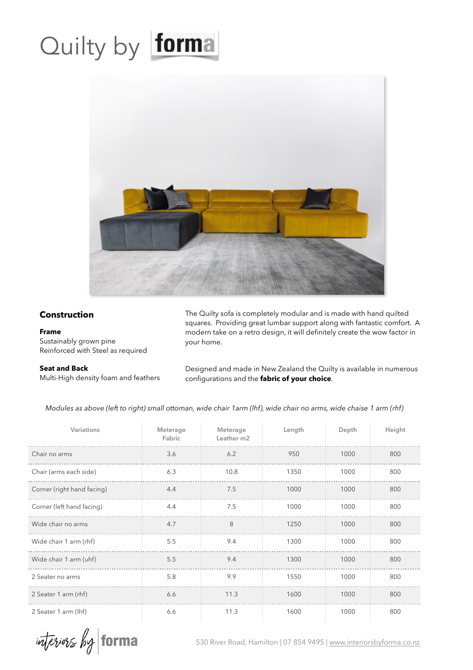## Quilty by forma



## **Construction**

## **Frame**

Sustainably grown pine Reinforced with Steel as required

## **Seat and Back**

Multi-High density foam and feathers

The Quilty sofa is completely modular and is made with hand quilted squares. Providing great lumbar support along with fantastic comfort. A modern take on a retro design, it will definitely create the wow factor in your home.

Designed and made in New Zealand the Quilty is available in numerous configurations and the **fabric of your choice**.

*Modules as above (left to right) small ottoman, wide chair 1arm (lhf), wide chair no arms, wide chaise 1 arm (rhf)*

| Variations                 | Meterage<br>Fabric | Meterage<br>Leather m2 | Length | Depth | Height |
|----------------------------|--------------------|------------------------|--------|-------|--------|
| Chair no arms              | 3.6                | 6.2                    | 950    | 1000  | 800    |
| Chair (arms each side)     | 6.3                | 10.8                   | 1350   | 1000  | 800    |
| Corner (right hand facing) | 4.4                | 7.5                    | 1000   | 1000  | 800    |
| Corner (left hand facing)  | 4.4                | 7.5                    | 1000   | 1000  | 800    |
| Wide chair no arms         | 4.7                | 8                      | 1250   | 1000  | 800    |
| Wide chair 1 arm (rhf)     | 5.5                | 9.4                    | 1300   | 1000  | 800    |
| Wide chair 1 arm (uhf)     | 5.5                | 9.4                    | 1300   | 1000  | 800    |
| 2 Seater no arms           | 5.8                | 9.9                    | 1550   | 1000  | 800    |
| 2 Seater 1 arm (rhf)       | 6.6                | 11.3                   | 1600   | 1000  | 800    |
| 2 Seater 1 arm (lhf)       | 6.6                | 11.3                   | 1600   | 1000  | 800    |

interiors by torma